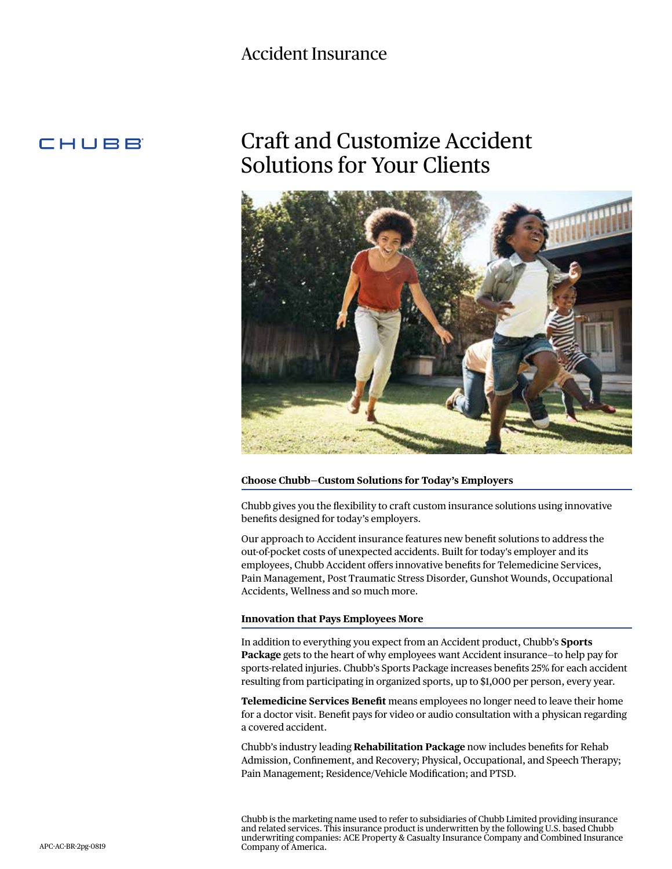# Accident Insurance

# CHUBB

# Craft and Customize Accident Solutions for Your Clients



#### **Choose Chubb—Custom Solutions for Today's Employers**

Chubb gives you the flexibility to craft custom insurance solutions using innovative benefits designed for today's employers.

Our approach to Accident insurance features new benefit solutions to address the out-of-pocket costs of unexpected accidents. Built for today's employer and its employees, Chubb Accident offers innovative benefits for Telemedicine Services, Pain Management, Post Traumatic Stress Disorder, Gunshot Wounds, Occupational Accidents, Wellness and so much more.

#### **Innovation that Pays Employees More**

In addition to everything you expect from an Accident product, Chubb's **Sports Package** gets to the heart of why employees want Accident insurance—to help pay for sports-related injuries. Chubb's Sports Package increases benefits 25% for each accident resulting from participating in organized sports, up to \$1,000 per person, every year.

**Telemedicine Services Benefit** means employees no longer need to leave their home for a doctor visit. Benefit pays for video or audio consultation with a physican regarding a covered accident.

Chubb's industry leading **Rehabilitation Package** now includes benefits for Rehab Admission, Confinement, and Recovery; Physical, Occupational, and Speech Therapy; Pain Management; Residence/Vehicle Modification; and PTSD.

Chubb is the marketing name used to refer to subsidiaries of Chubb Limited providing insurance and related services. This insurance product is underwritten by the following U.S. based Chubb underwriting companies: ACE Property & Casualty Insurance Company and Combined Insurance Company of America.